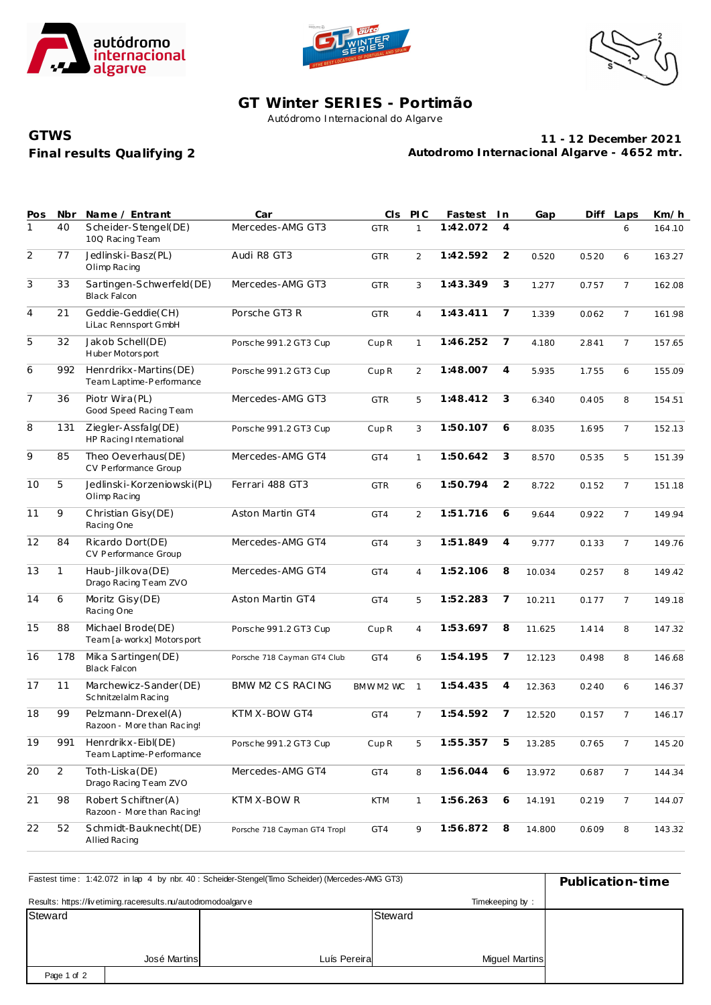





## **GT Winter SERIES - Portimão**

Autódromo Internacional do Algarve

## **Final results Qualifying 2 GTWS**

**11 - 12 December 2021 Autodromo Internacional Algarve - 4652 mtr.**

| Pos            | Nbr            | Name / Entrant                                    | Car                          | CIS              | PLC            | Fastest  | In             | Gap    | Diff  | Laps           | Km/h   |
|----------------|----------------|---------------------------------------------------|------------------------------|------------------|----------------|----------|----------------|--------|-------|----------------|--------|
| $\mathbf{1}$   | 40             | Scheider-Stengel(DE)<br>100 Racing Team           | Mercedes-AMG GT3             | <b>GTR</b>       | $\mathbf{1}$   | 1:42.072 | $\overline{4}$ |        |       | 6              | 164.10 |
| $\overline{2}$ | 77             | Jedlinski-Basz(PL)<br>Olimp Racing                | Audi R8 GT3                  | <b>GTR</b>       | 2              | 1:42.592 | $\overline{2}$ | 0.520  | 0.520 | 6              | 163.27 |
| $\overline{3}$ | 33             | Sartingen-Schwerfeld(DE)<br><b>Black Falcon</b>   | Mercedes-AMG GT3             | <b>GTR</b>       | 3              | 1:43.349 | 3              | 1.277  | 0.757 | $\overline{7}$ | 162.08 |
| $\overline{4}$ | 21             | Geddie-Geddie(CH)<br>LiLac Rennsport GmbH         | Porsche GT3 R                | <b>GTR</b>       | $\overline{4}$ | 1:43.411 | 7              | 1.339  | 0.062 | $\overline{7}$ | 161.98 |
| $\overline{5}$ | 32             | Jakob Schell(DE)<br>Huber Motorsport              | Porsche 991.2 GT3 Cup        | Cup <sub>R</sub> | $\mathbf{1}$   | 1:46.252 | 7              | 4.180  | 2.841 | $\overline{7}$ | 157.65 |
| 6              | 992            | Henrdrikx-Martins(DE)<br>Team Laptime-Performance | Porsche 991.2 GT3 Cup        | Cup <sub>R</sub> | 2              | 1:48.007 | $\overline{4}$ | 5.935  | 1.755 | 6              | 155.09 |
| $\overline{7}$ | 36             | Piotr Wira (PL)<br>Good Speed Racing Team         | Mercedes-AMG GT3             | <b>GTR</b>       | 5              | 1:48.412 | 3              | 6.340  | 0.405 | 8              | 154.51 |
| 8              | 131            | Ziegler-Assfalg(DE)<br>HP Racing International    | Porsche 991.2 GT3 Cup        | Cup <sub>R</sub> | 3              | 1:50.107 | 6              | 8.035  | 1.695 | $\overline{7}$ | 152.13 |
| $\overline{9}$ | 85             | Theo Oeverhaus(DE)<br>CV Performance Group        | Mercedes-AMG GT4             | GT4              | $\mathbf{1}$   | 1:50.642 | 3              | 8.570  | 0.535 | 5              | 151.39 |
| 10             | 5              | Jedlinski-Korzeniowski(PL)<br>Olimp Racing        | Ferrari 488 GT3              | <b>GTR</b>       | 6              | 1:50.794 | $\overline{2}$ | 8.722  | 0.152 | $\overline{7}$ | 151.18 |
| 11             | 9              | Christian Gisy(DE)<br>Racing One                  | Aston Martin GT4             | GT4              | $\overline{2}$ | 1:51.716 | 6              | 9.644  | 0.922 | $\overline{7}$ | 149.94 |
| 12             | 84             | Ricardo Dort(DE)<br>CV Performance Group          | Mercedes-AMG GT4             | GT4              | 3              | 1:51.849 | $\overline{4}$ | 9.777  | 0.133 | $\overline{7}$ | 149.76 |
| 13             | $\mathbf{1}$   | Haub-Jilkova (DE)<br>Drago Racing Team ZVO        | Mercedes-AMG GT4             | GT4              | $\overline{4}$ | 1:52.106 | 8              | 10.034 | 0.257 | 8              | 149.42 |
| 14             | 6              | Moritz Gisy (DE)<br>Racing One                    | Aston Martin GT4             | GT4              | 5              | 1:52.283 | 7              | 10.211 | 0.177 | $\overline{7}$ | 149.18 |
| 15             | 88             | Michael Brode(DE)<br>Team [a-workx] Motorsport    | Porsche 991.2 GT3 Cup        | Cup <sub>R</sub> | $\overline{4}$ | 1:53.697 | 8              | 11.625 | 1.414 | 8              | 147.32 |
| 16             | 178            | Mika Sartingen(DE)<br><b>Black Falcon</b>         | Porsche 718 Cayman GT4 Club  | GT4              | 6              | 1:54.195 | 7              | 12.123 | 0.498 | 8              | 146.68 |
| 17             | 11             | Marchewicz-Sander (DE)<br>Schnitzelalm Racing     | BMW M2 CS RACING             | BMWM2 WC         | $\mathbf{1}$   | 1:54.435 | $\overline{4}$ | 12.363 | 0.240 | 6              | 146.37 |
| 18             | 99             | Pelzmann-Drexel(A)<br>Razoon - More than Racing!  | KTM X-BOW GT4                | GT4              | $\overline{7}$ | 1:54.592 | 7              | 12.520 | 0.157 | $\overline{7}$ | 146.17 |
| 19             | 991            | Henrdrikx-Eibl(DE)<br>Team Laptime-Performance    | Porsche 991.2 GT3 Cup        | $C$ up $R$       | 5              | 1:55.357 | 5              | 13.285 | 0.765 | 7              | 145.20 |
| 20             | $\overline{2}$ | Toth-Liska(DE)<br>Drago Racing Team ZVO           | Mercedes-AMG GT4             | GT4              | 8              | 1:56.044 | 6              | 13.972 | 0.687 | $\overline{7}$ | 144.34 |
| 21             | 98             | Robert Schiftner(A)<br>Razoon - More than Racing! | KTM X-BOW R                  | <b>KTM</b>       | $\mathbf{1}$   | 1:56.263 | 6              | 14.191 | 0.219 | $\overline{7}$ | 144.07 |
| 22             | 52             | Schmidt-Bauknecht(DE)<br>Allied Racing            | Porsche 718 Cayman GT4 Tropl | GT4              | 9              | 1:56.872 | 8              | 14.800 | 0.609 | 8              | 143.32 |

| Fastest time: 1:42.072 in lap 4 by nbr. 40 : Scheider-Stengel(Timo Scheider) (Mercedes-AMG GT3) | Publication-time |              |                       |  |
|-------------------------------------------------------------------------------------------------|------------------|--------------|-----------------------|--|
| Results: https://livetiming.raceresults.nu/autodromodoalgarve                                   |                  |              |                       |  |
| Steward                                                                                         |                  |              | Steward               |  |
|                                                                                                 |                  |              |                       |  |
|                                                                                                 |                  |              |                       |  |
|                                                                                                 | José Martins     | Luís Pereira | <b>Miquel Martins</b> |  |
| Page 1 of 2                                                                                     |                  |              |                       |  |